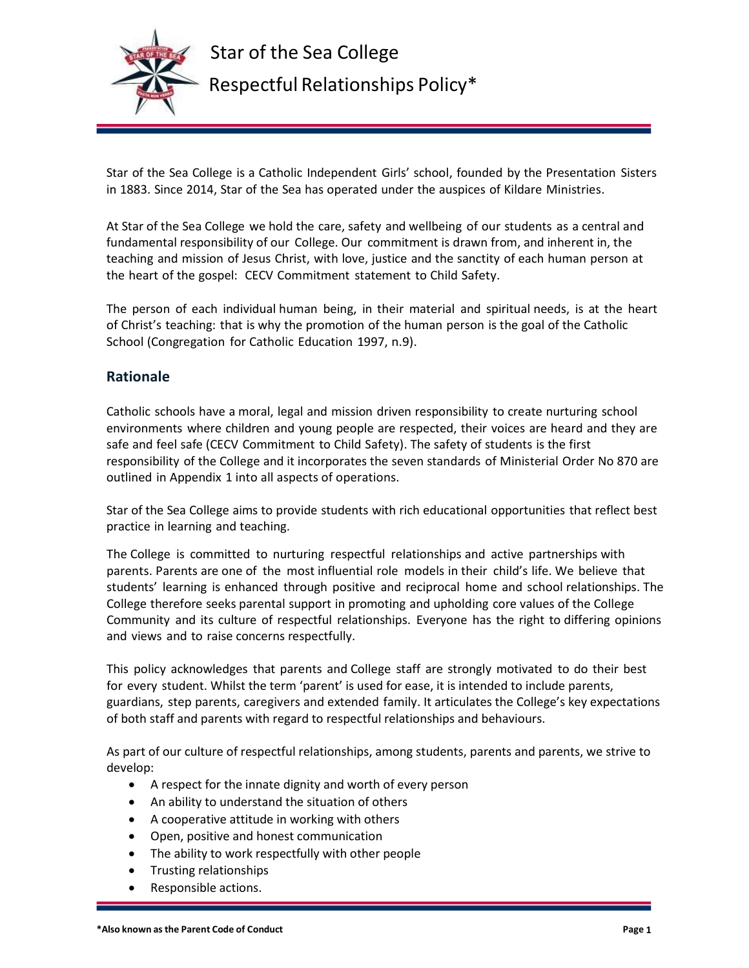

Star of the Sea College is a Catholic Independent Girls' school, founded by the Presentation Sisters in 1883. Since 2014, Star of the Sea has operated under the auspices of Kildare Ministries.

At Star of the Sea College we hold the care, safety and wellbeing of our students as a central and fundamental responsibility of our College. Our commitment is drawn from, and inherent in, the teaching and mission of Jesus Christ, with love, justice and the sanctity of each human person at the heart of the gospel: CECV Commitment statement to Child Safety.

The person of each individual human being, in their material and spiritual needs, is at the heart of Christ's teaching: that is why the promotion of the human person is the goal of the Catholic School (Congregation for Catholic Education 1997, n.9).

# **Rationale**

Catholic schools have a moral, legal and mission driven responsibility to create nurturing school environments where children and young people are respected, their voices are heard and they are safe and feel safe (CECV Commitment to Child Safety). The safety of students is the first responsibility of the College and it incorporates the seven standards of Ministerial Order No 870 are outlined in Appendix 1 into all aspects of operations.

Star of the Sea College aims to provide students with rich educational opportunities that reflect best practice in learning and teaching.

The College is committed to nurturing respectful relationships and active partnerships with parents. Parents are one of the most influential role models in their child's life. We believe that students' learning is enhanced through positive and reciprocal home and school relationships. The College therefore seeks parental support in promoting and upholding core values of the College Community and its culture of respectful relationships. Everyone has the right to differing opinions and views and to raise concerns respectfully.

This policy acknowledges that parents and College staff are strongly motivated to do their best for every student. Whilst the term 'parent' is used for ease, it is intended to include parents, guardians, step parents, caregivers and extended family. It articulates the College's key expectations of both staff and parents with regard to respectful relationships and behaviours.

As part of our culture of respectful relationships, among students, parents and parents, we strive to develop:

- A respect for the innate dignity and worth of every person
- An ability to understand the situation of others
- A cooperative attitude in working with others
- Open, positive and honest communication
- The ability to work respectfully with other people
- Trusting relationships
- Responsible actions.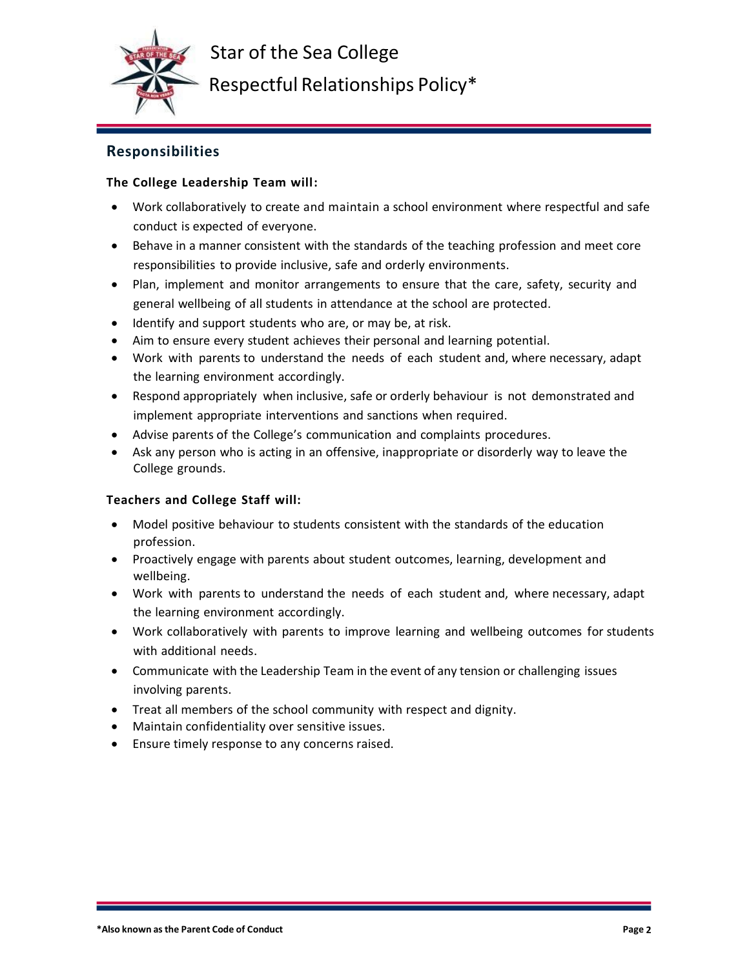

Respectful Relationships Policy\*

# **Responsibilities**

## **The College Leadership Team will:**

- Work collaboratively to create and maintain a school environment where respectful and safe conduct is expected of everyone.
- Behave in a manner consistent with the standards of the teaching profession and meet core responsibilities to provide inclusive, safe and orderly environments.
- Plan, implement and monitor arrangements to ensure that the care, safety, security and general wellbeing of all students in attendance at the school are protected.
- Identify and support students who are, or may be, at risk.
- Aim to ensure every student achieves their personal and learning potential.
- Work with parents to understand the needs of each student and, where necessary, adapt the learning environment accordingly.
- Respond appropriately when inclusive, safe or orderly behaviour is not demonstrated and implement appropriate interventions and sanctions when required.
- Advise parents of the College's communication and complaints procedures.
- Ask any person who is acting in an offensive, inappropriate or disorderly way to leave the College grounds.

### **Teachers and College Staff will:**

- Model positive behaviour to students consistent with the standards of the education profession.
- Proactively engage with parents about student outcomes, learning, development and wellbeing.
- Work with parents to understand the needs of each student and, where necessary, adapt the learning environment accordingly.
- Work collaboratively with parents to improve learning and wellbeing outcomes for students with additional needs.
- Communicate with the Leadership Team in the event of any tension or challenging issues involving parents.
- Treat all members of the school community with respect and dignity.
- Maintain confidentiality over sensitive issues.
- Ensure timely response to any concerns raised.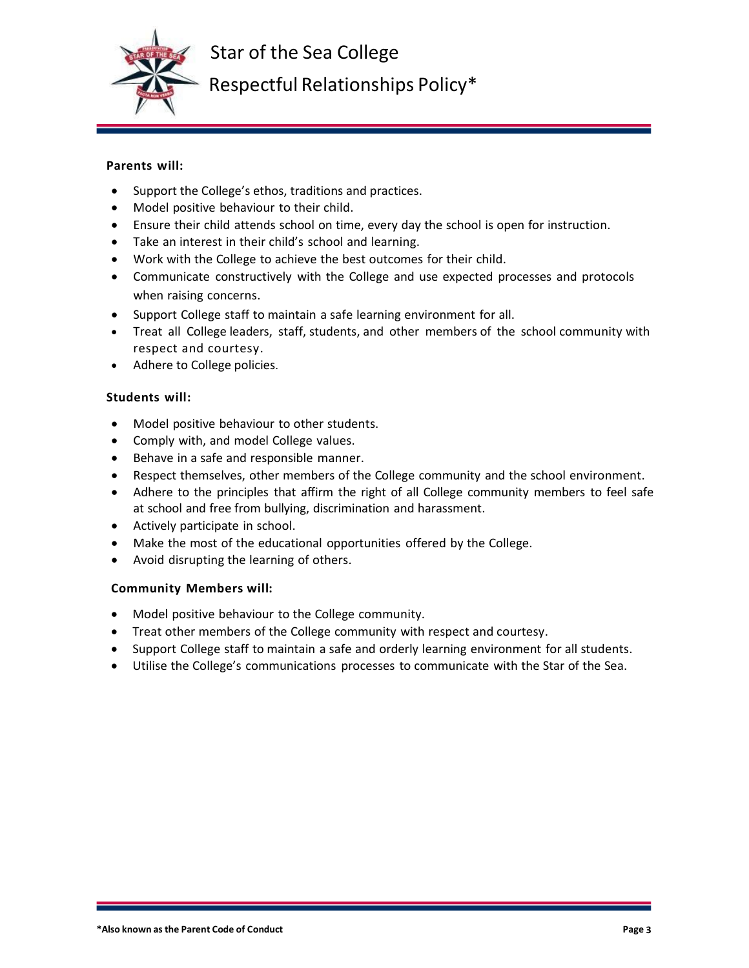

Respectful Relationships Policy\*

## **Parents will:**

- Support the College's ethos, traditions and practices.
- Model positive behaviour to their child.
- Ensure their child attends school on time, every day the school is open for instruction.
- Take an interest in their child's school and learning.
- Work with the College to achieve the best outcomes for their child.
- Communicate constructively with the College and use expected processes and protocols when raising concerns.
- Support College staff to maintain a safe learning environment for all.
- Treat all College leaders, staff, students, and other members of the school community with respect and courtesy.
- Adhere to College policies.

## **Students will:**

- Model positive behaviour to other students.
- Comply with, and model College values.
- Behave in a safe and responsible manner.
- Respect themselves, other members of the College community and the school environment.
- Adhere to the principles that affirm the right of all College community members to feel safe at school and free from bullying, discrimination and harassment.
- Actively participate in school.
- Make the most of the educational opportunities offered by the College.
- Avoid disrupting the learning of others.

### **Community Members will:**

- Model positive behaviour to the College community.
- Treat other members of the College community with respect and courtesy.
- Support College staff to maintain a safe and orderly learning environment for all students.
- Utilise the College's communications processes to communicate with the Star of the Sea.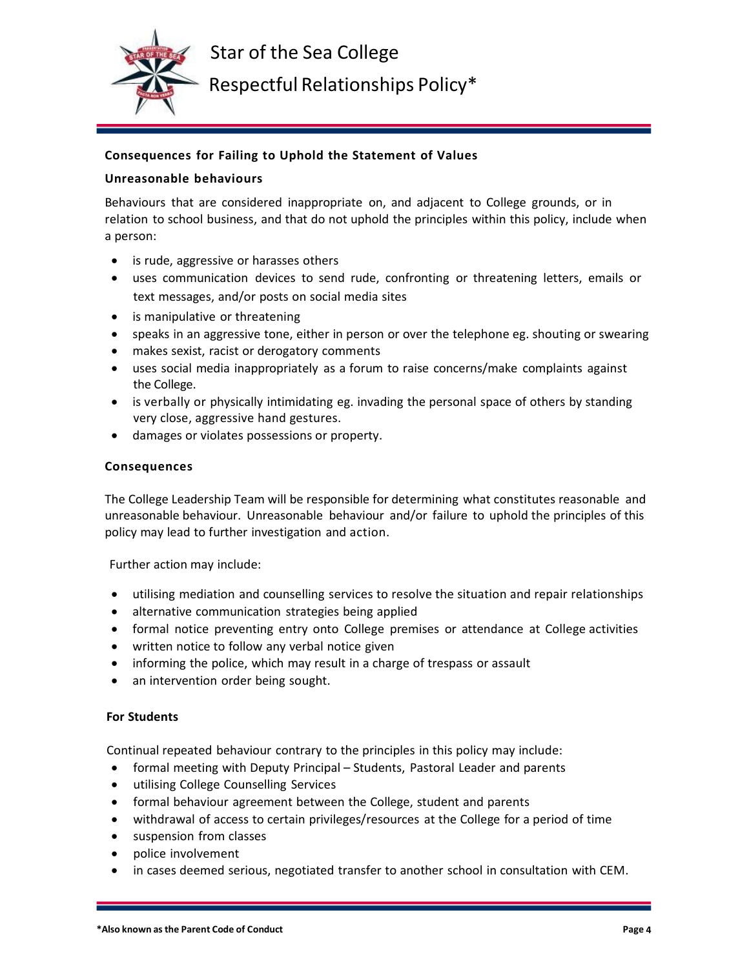

Respectful Relationships Policy\*

## **Consequences for Failing to Uphold the Statement of Values**

### **Unreasonable behaviours**

Behaviours that are considered inappropriate on, and adjacent to College grounds, or in relation to school business, and that do not uphold the principles within this policy, include when a person:

- is rude, aggressive or harasses others
- uses communication devices to send rude, confronting or threatening letters, emails or text messages, and/or posts on social media sites
- is manipulative or threatening
- speaks in an aggressive tone, either in person or over the telephone eg. shouting or swearing
- makes sexist, racist or derogatory comments
- uses social media inappropriately as a forum to raise concerns/make complaints against the College.
- is verbally or physically intimidating eg. invading the personal space of others by standing very close, aggressive hand gestures.
- damages or violates possessions or property.

### **Consequences**

The College Leadership Team will be responsible for determining what constitutes reasonable and unreasonable behaviour. Unreasonable behaviour and/or failure to uphold the principles of this policy may lead to further investigation and action.

Further action may include:

- utilising mediation and counselling services to resolve the situation and repair relationships
- alternative communication strategies being applied
- formal notice preventing entry onto College premises or attendance at College activities
- written notice to follow any verbal notice given
- informing the police, which may result in a charge of trespass or assault
- an intervention order being sought.

### **For Students**

Continual repeated behaviour contrary to the principles in this policy may include:

- formal meeting with Deputy Principal Students, Pastoral Leader and parents
- utilising College Counselling Services
- formal behaviour agreement between the College, student and parents
- withdrawal of access to certain privileges/resources at the College for a period of time
- suspension from classes
- police involvement
- in cases deemed serious, negotiated transfer to another school in consultation with CEM.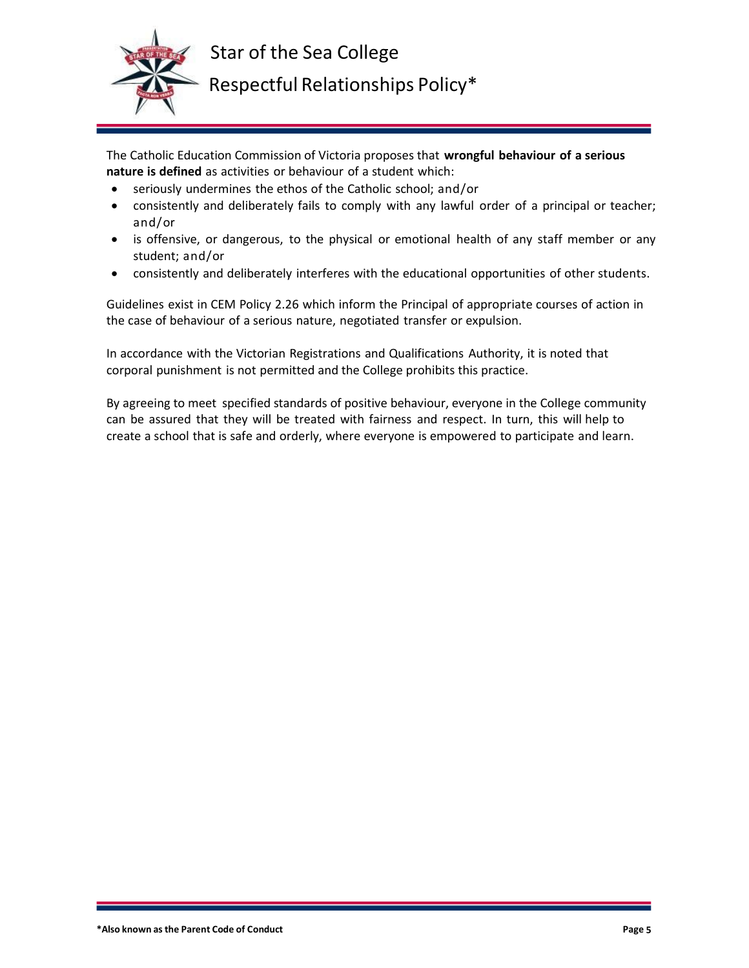

# Respectful Relationships Policy\*

The Catholic Education Commission of Victoria proposes that **wrongful behaviour of a serious nature is defined** as activities or behaviour of a student which:

- seriously undermines the ethos of the Catholic school; and/or
- consistently and deliberately fails to comply with any lawful order of a principal or teacher; and/or
- is offensive, or dangerous, to the physical or emotional health of any staff member or any student; and/or
- consistently and deliberately interferes with the educational opportunities of other students.

Guidelines exist in CEM Policy 2.26 which inform the Principal of appropriate courses of action in the case of behaviour of a serious nature, negotiated transfer or expulsion.

In accordance with the Victorian Registrations and Qualifications Authority, it is noted that corporal punishment is not permitted and the College prohibits this practice.

By agreeing to meet specified standards of positive behaviour, everyone in the College community can be assured that they will be treated with fairness and respect. In turn, this will help to create a school that is safe and orderly, where everyone is empowered to participate and learn.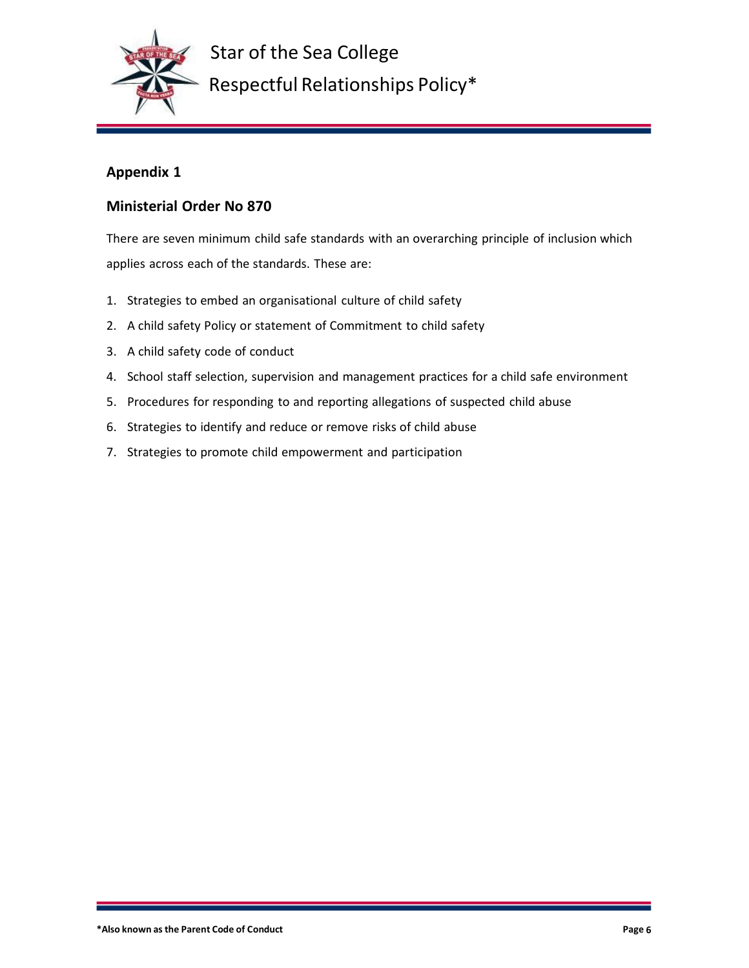

Star of the Sea College Respectful Relationships Policy\*

# **Appendix 1**

# **Ministerial Order No 870**

There are seven minimum child safe standards with an overarching principle of inclusion which applies across each of the standards. These are:

- 1. Strategies to embed an organisational culture of child safety
- 2. A child safety Policy or statement of Commitment to child safety
- 3. A child safety code of conduct
- 4. School staff selection, supervision and management practices for a child safe environment
- 5. Procedures for responding to and reporting allegations of suspected child abuse
- 6. Strategies to identify and reduce or remove risks of child abuse
- 7. Strategies to promote child empowerment and participation